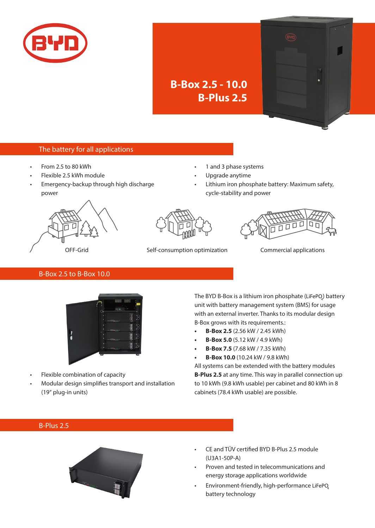

# **B-Box 2.5 - 10.0 B-Plus 2.5**

## The battery for all applications

- From 2.5 to 80 kWh
- Flexible 2.5 kWh module
- Emergency-backup through high discharge power
- 1 and 3 phase systems
- Upgrade anytime
- Lithium iron phosphate battery: Maximum safety, cycle-stability and power







OFF-Grid Self-consumption optimization Commercial applications

#### B-Box 2.5 to B-Box 10.0



- Flexible combination of capacity
- Modular design simplifies transport and installation (19'' plug-in units)

The BYD B-Box is a lithium iron phosphate (LiFePQ) battery unit with battery management system (BMS) for usage with an external inverter. Thanks to its modular design B-Box grows with its requirements.:

- **• B-Box 2.5** (2.56 kW / 2.45 kWh)
- **B-Box 5.0** (5.12 kW / 4.9 kWh)
- **• B-Box 7.5** (7.68 kW / 7.35 kWh)
- **• B-Box 10.0** (10.24 kW / 9.8 kWh)

All systems can be extended with the battery modules **B-Plus 2.5** at any time. This way in parallel connection up to 10 kWh (9.8 kWh usable) per cabinet and 80 kWh in 8 cabinets (78.4 kWh usable) are possible.

## B-Plus 2.5



- CE and TÜV certified BYD B-Plus 2.5 module (U3A1-50P-A)
- Proven and tested in telecommunications and energy storage applications worldwide
- Environment-friendly, high-performance LiFePQ battery technology